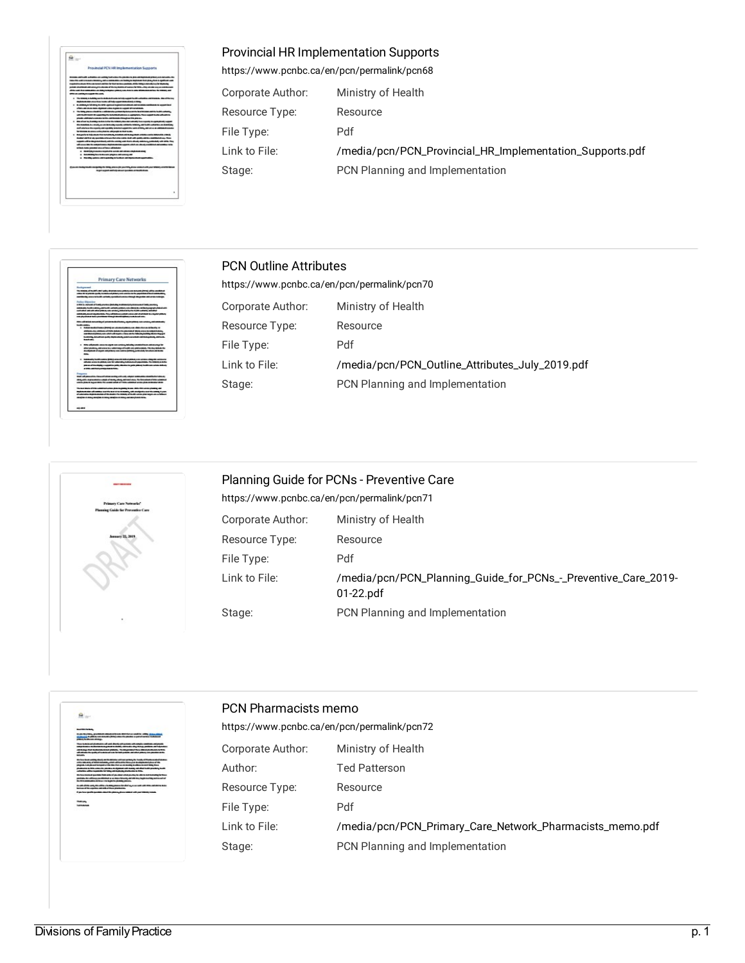

# Provincial HR Implementation Supports

<https://www.pcnbc.ca/en/pcn/permalink/pcn68>

| Corporate Author: | Ministry of Health                                       |
|-------------------|----------------------------------------------------------|
| Resource Type:    | Resource                                                 |
| File Type:        | Pdf                                                      |
| Link to File:     | /media/pcn/PCN_Provincial_HR_Implementation_Supports.pdf |
| Stage:            | PCN Planning and Implementation                          |





# PCN Outline Attributes

| https://www.pcnbc.ca/en/pcn/permalink/pcn70 |                                                 |  |
|---------------------------------------------|-------------------------------------------------|--|
| Corporate Author:                           | Ministry of Health                              |  |
| Resource Type:                              | Resource                                        |  |
| File Type:                                  | Pdf                                             |  |
| Link to File:                               | /media/pcn/PCN_Outline_Attributes_July_2019.pdf |  |
| Stage:                                      | PCN Planning and Implementation                 |  |
|                                             |                                                 |  |

| Planning Guide for PCNs - Preventive Care<br>https://www.pcnbc.ca/en/pcn/permalink/pcn71 |                                                                               |  |
|------------------------------------------------------------------------------------------|-------------------------------------------------------------------------------|--|
| Corporate Author:                                                                        | Ministry of Health                                                            |  |
| Resource Type:                                                                           | Resource                                                                      |  |
| File Type:                                                                               | Pdf                                                                           |  |
| Link to File:                                                                            | /media/pcn/PCN_Planning_Guide_for_PCNs_-_Preventive_Care_2019-<br>$01-22.pdf$ |  |
| Stage:                                                                                   | PCN Planning and Implementation                                               |  |



## PCN Pharmacists memo

| https://www.pcnbc.ca/en/pcn/permalink/pcn72 |                                                          |  |
|---------------------------------------------|----------------------------------------------------------|--|
| Corporate Author:                           | Ministry of Health                                       |  |
| Author:                                     | <b>Ted Patterson</b>                                     |  |
| Resource Type:                              | Resource                                                 |  |
| File Type:                                  | Pdf                                                      |  |
| Link to File:                               | /media/pcn/PCN_Primary_Care_Network_Pharmacists_memo.pdf |  |
| Stage:                                      | PCN Planning and Implementation                          |  |
|                                             |                                                          |  |